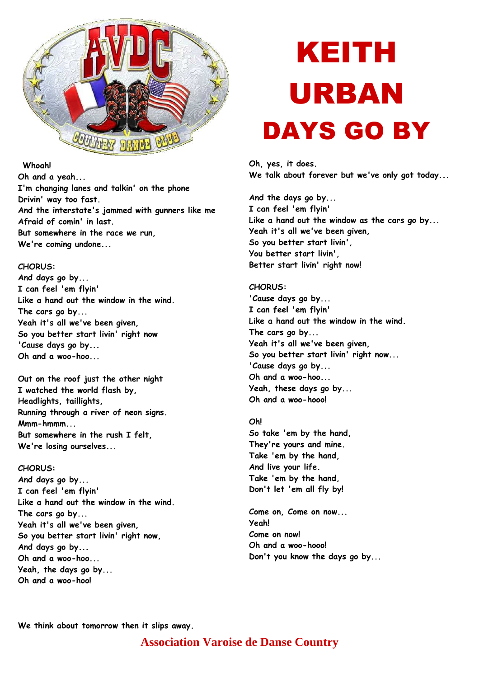

**Whoah!** 

**Oh and a yeah... I'm changing lanes and talkin' on the phone Drivin' way too fast. And the interstate's jammed with gunners like me Afraid of comin' in last. But somewhere in the race we run, We're coming undone...** 

### **CHORUS:**

**And days go by... I can feel 'em flyin' Like a hand out the window in the wind. The cars go by... Yeah it's all we've been given, So you better start livin' right now 'Cause days go by... Oh and a woo-hoo...** 

**Out on the roof just the other night I watched the world flash by, Headlights, taillights, Running through a river of neon signs. Mmm-hmmm... But somewhere in the rush I felt, We're losing ourselves...** 

#### **CHORUS:**

**And days go by... I can feel 'em flyin' Like a hand out the window in the wind. The cars go by... Yeah it's all we've been given, So you better start livin' right now, And days go by... Oh and a woo-hoo... Yeah, the days go by... Oh and a woo-hoo!** 

## KEITH URBAN DAYS GO BY

**Oh, yes, it does. We talk about forever but we've only got today...** 

**And the days go by... I can feel 'em flyin' Like a hand out the window as the cars go by... Yeah it's all we've been given, So you better start livin', You better start livin', Better start livin' right now!** 

**CHORUS: 'Cause days go by... I can feel 'em flyin' Like a hand out the window in the wind. The cars go by... Yeah it's all we've been given, So you better start livin' right now... 'Cause days go by... Oh and a woo-hoo... Yeah, these days go by... Oh and a woo-hooo!** 

**Oh! So take 'em by the hand, They're yours and mine. Take 'em by the hand, And live your life. Take 'em by the hand, Don't let 'em all fly by!** 

**Come on, Come on now... Yeah! Come on now! Oh and a woo-hooo! Don't you know the days go by...**

**We think about tomorrow then it slips away.** 

### **Association Varoise de Danse Country**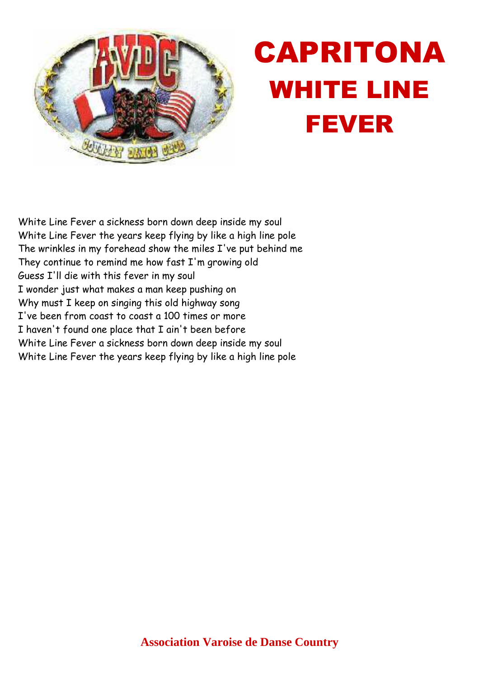

## CAPRITONA WHITE LINE FEVER

White Line Fever a sickness born down deep inside my soul White Line Fever the years keep flying by like a high line pole The wrinkles in my forehead show the miles I've put behind me They continue to remind me how fast I'm growing old Guess I'll die with this fever in my soul I wonder just what makes a man keep pushing on Why must I keep on singing this old highway song I've been from coast to coast a 100 times or more I haven't found one place that I ain't been before White Line Fever a sickness born down deep inside my soul White Line Fever the years keep flying by like a high line pole